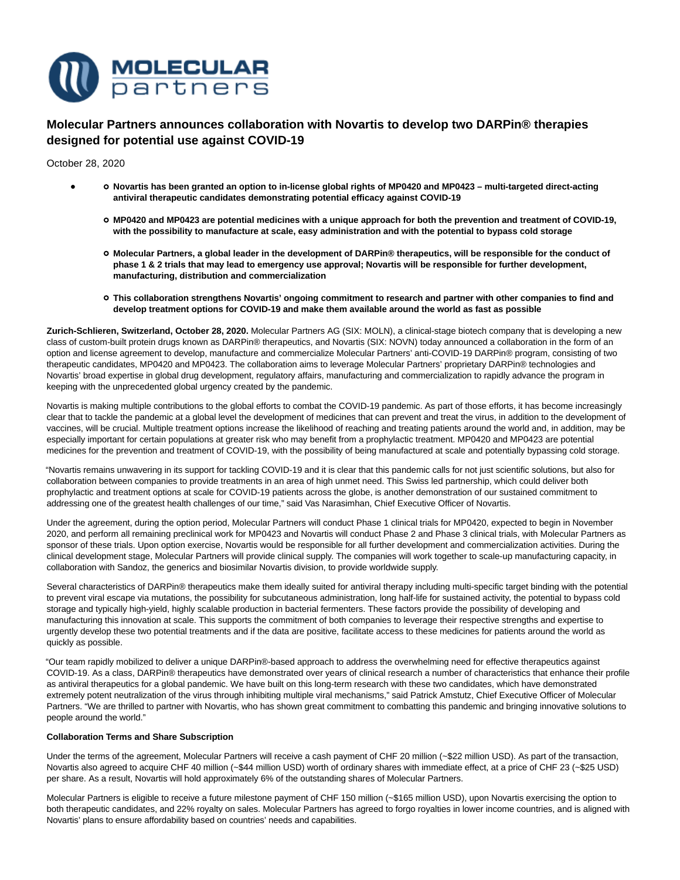

# **Molecular Partners announces collaboration with Novartis to develop two DARPin® therapies designed for potential use against COVID-19**

October 28, 2020

- **Novartis has been granted an option to in-license global rights of MP0420 and MP0423 multi-targeted direct-acting antiviral therapeutic candidates demonstrating potential efficacy against COVID-19**
	- **MP0420 and MP0423 are potential medicines with a unique approach for both the prevention and treatment of COVID-19, with the possibility to manufacture at scale, easy administration and with the potential to bypass cold storage**
	- **Molecular Partners, a global leader in the development of DARPin® therapeutics, will be responsible for the conduct of phase 1 & 2 trials that may lead to emergency use approval; Novartis will be responsible for further development, manufacturing, distribution and commercialization**
	- **This collaboration strengthens Novartis' ongoing commitment to research and partner with other companies to find and develop treatment options for COVID-19 and make them available around the world as fast as possible**

**Zurich-Schlieren, Switzerland, October 28, 2020.** Molecular Partners AG (SIX: MOLN), a clinical-stage biotech company that is developing a new class of custom-built protein drugs known as DARPin® therapeutics, and Novartis (SIX: NOVN) today announced a collaboration in the form of an option and license agreement to develop, manufacture and commercialize Molecular Partners' anti-COVID-19 DARPin® program, consisting of two therapeutic candidates, MP0420 and MP0423. The collaboration aims to leverage Molecular Partners' proprietary DARPin® technologies and Novartis' broad expertise in global drug development, regulatory affairs, manufacturing and commercialization to rapidly advance the program in keeping with the unprecedented global urgency created by the pandemic.

Novartis is making multiple contributions to the global efforts to combat the COVID-19 pandemic. As part of those efforts, it has become increasingly clear that to tackle the pandemic at a global level the development of medicines that can prevent and treat the virus, in addition to the development of vaccines, will be crucial. Multiple treatment options increase the likelihood of reaching and treating patients around the world and, in addition, may be especially important for certain populations at greater risk who may benefit from a prophylactic treatment. MP0420 and MP0423 are potential medicines for the prevention and treatment of COVID-19, with the possibility of being manufactured at scale and potentially bypassing cold storage.

"Novartis remains unwavering in its support for tackling COVID-19 and it is clear that this pandemic calls for not just scientific solutions, but also for collaboration between companies to provide treatments in an area of high unmet need. This Swiss led partnership, which could deliver both prophylactic and treatment options at scale for COVID-19 patients across the globe, is another demonstration of our sustained commitment to addressing one of the greatest health challenges of our time," said Vas Narasimhan, Chief Executive Officer of Novartis.

Under the agreement, during the option period, Molecular Partners will conduct Phase 1 clinical trials for MP0420, expected to begin in November 2020, and perform all remaining preclinical work for MP0423 and Novartis will conduct Phase 2 and Phase 3 clinical trials, with Molecular Partners as sponsor of these trials. Upon option exercise, Novartis would be responsible for all further development and commercialization activities. During the clinical development stage, Molecular Partners will provide clinical supply. The companies will work together to scale-up manufacturing capacity, in collaboration with Sandoz, the generics and biosimilar Novartis division, to provide worldwide supply.

Several characteristics of DARPin® therapeutics make them ideally suited for antiviral therapy including multi-specific target binding with the potential to prevent viral escape via mutations, the possibility for subcutaneous administration, long half-life for sustained activity, the potential to bypass cold storage and typically high-yield, highly scalable production in bacterial fermenters. These factors provide the possibility of developing and manufacturing this innovation at scale. This supports the commitment of both companies to leverage their respective strengths and expertise to urgently develop these two potential treatments and if the data are positive, facilitate access to these medicines for patients around the world as quickly as possible.

"Our team rapidly mobilized to deliver a unique DARPin®-based approach to address the overwhelming need for effective therapeutics against COVID-19. As a class, DARPin® therapeutics have demonstrated over years of clinical research a number of characteristics that enhance their profile as antiviral therapeutics for a global pandemic. We have built on this long-term research with these two candidates, which have demonstrated extremely potent neutralization of the virus through inhibiting multiple viral mechanisms," said Patrick Amstutz, Chief Executive Officer of Molecular Partners. "We are thrilled to partner with Novartis, who has shown great commitment to combatting this pandemic and bringing innovative solutions to people around the world."

## **Collaboration Terms and Share Subscription**

Under the terms of the agreement, Molecular Partners will receive a cash payment of CHF 20 million (~\$22 million USD). As part of the transaction, Novartis also agreed to acquire CHF 40 million (~\$44 million USD) worth of ordinary shares with immediate effect, at a price of CHF 23 (~\$25 USD) per share. As a result, Novartis will hold approximately 6% of the outstanding shares of Molecular Partners.

Molecular Partners is eligible to receive a future milestone payment of CHF 150 million (~\$165 million USD), upon Novartis exercising the option to both therapeutic candidates, and 22% royalty on sales. Molecular Partners has agreed to forgo royalties in lower income countries, and is aligned with Novartis' plans to ensure affordability based on countries' needs and capabilities.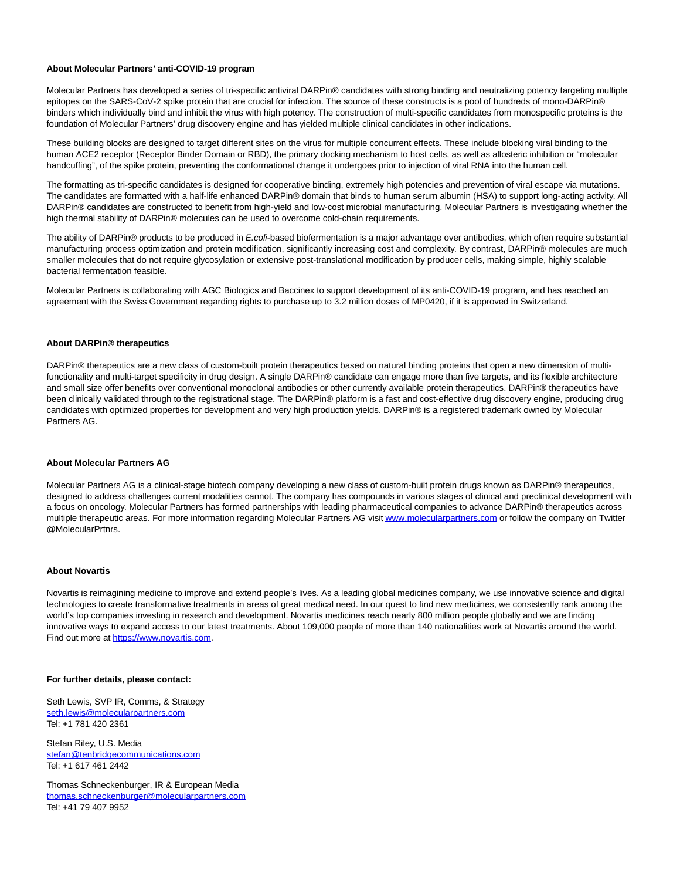## **About Molecular Partners' anti-COVID-19 program**

Molecular Partners has developed a series of tri-specific antiviral DARPin® candidates with strong binding and neutralizing potency targeting multiple epitopes on the SARS-CoV-2 spike protein that are crucial for infection. The source of these constructs is a pool of hundreds of mono-DARPin® binders which individually bind and inhibit the virus with high potency. The construction of multi-specific candidates from monospecific proteins is the foundation of Molecular Partners' drug discovery engine and has yielded multiple clinical candidates in other indications.

These building blocks are designed to target different sites on the virus for multiple concurrent effects. These include blocking viral binding to the human ACE2 receptor (Receptor Binder Domain or RBD), the primary docking mechanism to host cells, as well as allosteric inhibition or "molecular handcuffing", of the spike protein, preventing the conformational change it undergoes prior to injection of viral RNA into the human cell.

The formatting as tri-specific candidates is designed for cooperative binding, extremely high potencies and prevention of viral escape via mutations. The candidates are formatted with a half-life enhanced DARPin® domain that binds to human serum albumin (HSA) to support long-acting activity. All DARPin® candidates are constructed to benefit from high-yield and low-cost microbial manufacturing. Molecular Partners is investigating whether the high thermal stability of DARPin® molecules can be used to overcome cold-chain requirements.

The ability of DARPin® products to be produced in E.coli-based biofermentation is a major advantage over antibodies, which often require substantial manufacturing process optimization and protein modification, significantly increasing cost and complexity. By contrast, DARPin® molecules are much smaller molecules that do not require glycosylation or extensive post-translational modification by producer cells, making simple, highly scalable bacterial fermentation feasible.

Molecular Partners is collaborating with AGC Biologics and Baccinex to support development of its anti-COVID-19 program, and has reached an agreement with the Swiss Government regarding rights to purchase up to 3.2 million doses of MP0420, if it is approved in Switzerland.

## **About DARPin® therapeutics**

DARPin® therapeutics are a new class of custom-built protein therapeutics based on natural binding proteins that open a new dimension of multifunctionality and multi-target specificity in drug design. A single DARPin® candidate can engage more than five targets, and its flexible architecture and small size offer benefits over conventional monoclonal antibodies or other currently available protein therapeutics. DARPin® therapeutics have been clinically validated through to the registrational stage. The DARPin® platform is a fast and cost-effective drug discovery engine, producing drug candidates with optimized properties for development and very high production yields. DARPin® is a registered trademark owned by Molecular Partners AG.

#### **About Molecular Partners AG**

Molecular Partners AG is a clinical-stage biotech company developing a new class of custom-built protein drugs known as DARPin® therapeutics, designed to address challenges current modalities cannot. The company has compounds in various stages of clinical and preclinical development with a focus on oncology. Molecular Partners has formed partnerships with leading pharmaceutical companies to advance DARPin® therapeutics across multiple therapeutic areas. For more information regarding Molecular Partners AG visi[t www.molecularpartners.com o](https://www.molecularpartners.com/)r follow the company on Twitter @MolecularPrtnrs.

#### **About Novartis**

Novartis is reimagining medicine to improve and extend people's lives. As a leading global medicines company, we use innovative science and digital technologies to create transformative treatments in areas of great medical need. In our quest to find new medicines, we consistently rank among the world's top companies investing in research and development. Novartis medicines reach nearly 800 million people globally and we are finding innovative ways to expand access to our latest treatments. About 109,000 people of more than 140 nationalities work at Novartis around the world. Find out more at [https://www.novartis.com.](https://www.novartis.com/)

#### **For further details, please contact:**

Seth Lewis, SVP IR, Comms, & Strategy [seth.lewis@molecularpartners.com](mailto:seth.lewis@molecularpartners.com) Tel: +1 781 420 2361

Stefan Riley, U.S. Media [stefan@tenbridgecommunications.com](mailto:stefan@tenbridgecommunications.com) Tel: +1 617 461 2442

Thomas Schneckenburger, IR & European Media [thomas.schneckenburger@molecularpartners.com](mailto:thomas.schneckenburger@molecularpartners.com) Tel: +41 79 407 9952